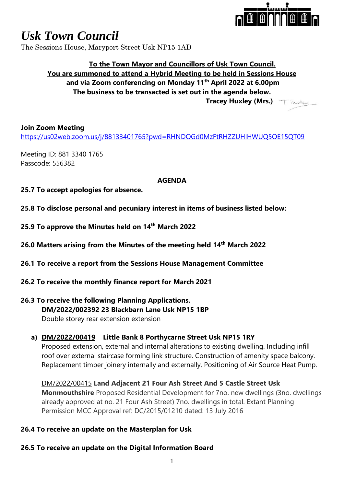

# *Usk Town Council*

The Sessions House, Maryport Street Usk NP15 1AD

## **To the Town Mayor and Councillors of Usk Town Council. You are summoned to attend a Hybrid Meeting to be held in Sessions House and via Zoom conferencing on Monday 11th April 2022 at 6.00pm The business to be transacted is set out in the agenda below. Tracey Huxley (Mrs.)**

#### **Join Zoom Meeting**

<https://us02web.zoom.us/j/88133401765?pwd=RHNDOGd0MzFtRHZZUHlHWUQ5OE15QT09>

Meeting ID: 881 3340 1765 Passcode: 556382

#### **AGENDA**

- **25.7 To accept apologies for absence.**
- **25.8 To disclose personal and pecuniary interest in items of business listed below:**
- **25.9 To approve the Minutes held on 14th March 2022**
- **26.0 Matters arising from the Minutes of the meeting held 14th March 2022**
- **26.1 To receive a report from the Sessions House Management Committee**
- **26.2 To receive the monthly finance report for March 2021**

# **26.3 To receive the following Planning Applications. DM/2022/002392 23 Blackbarn Lane Usk NP15 1BP**

Double storey rear extension extension

#### **a) DM/2022/00419 Little Bank 8 Porthycarne Street Usk NP15 1RY**

Proposed extension, external and internal alterations to existing dwelling. Including infill roof over external staircase forming link structure. Construction of amenity space balcony. Replacement timber joinery internally and externally. Positioning of Air Source Heat Pump.

DM/2022/00415 **Land Adjacent 21 Four Ash Street And 5 Castle Street Usk Monmouthshire** Proposed Residential Development for 7no. new dwellings (3no. dwellings already approved at no. 21 Four Ash Street) 7no. dwellings in total. Extant Planning Permission MCC Approval ref: DC/2015/01210 dated: 13 July 2016

#### **26.4 To receive an update on the Masterplan for Usk**

#### **26.5 To receive an update on the Digital Information Board**